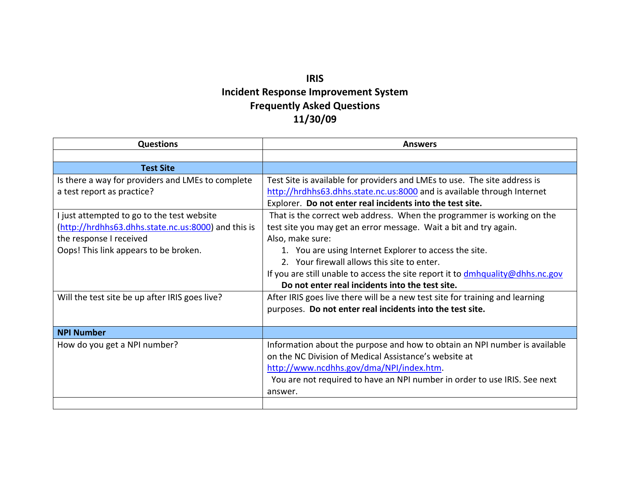## **IRIS Incident Response Improvement System Frequently Asked Questions 11/30/09**

| <b>Questions</b>                                    | <b>Answers</b>                                                                 |
|-----------------------------------------------------|--------------------------------------------------------------------------------|
|                                                     |                                                                                |
| <b>Test Site</b>                                    |                                                                                |
| Is there a way for providers and LMEs to complete   | Test Site is available for providers and LMEs to use. The site address is      |
| a test report as practice?                          | http://hrdhhs63.dhhs.state.nc.us:8000 and is available through Internet        |
|                                                     | Explorer. Do not enter real incidents into the test site.                      |
| I just attempted to go to the test website          | That is the correct web address. When the programmer is working on the         |
| (http://hrdhhs63.dhhs.state.nc.us:8000) and this is | test site you may get an error message. Wait a bit and try again.              |
| the response I received                             | Also, make sure:                                                               |
| Oops! This link appears to be broken.               | 1. You are using Internet Explorer to access the site.                         |
|                                                     | 2. Your firewall allows this site to enter.                                    |
|                                                     | If you are still unable to access the site report it to dmhquality@dhhs.nc.gov |
|                                                     | Do not enter real incidents into the test site.                                |
| Will the test site be up after IRIS goes live?      | After IRIS goes live there will be a new test site for training and learning   |
|                                                     | purposes. Do not enter real incidents into the test site.                      |
|                                                     |                                                                                |
| <b>NPI Number</b>                                   |                                                                                |
| How do you get a NPI number?                        | Information about the purpose and how to obtain an NPI number is available     |
|                                                     | on the NC Division of Medical Assistance's website at                          |
|                                                     | http://www.ncdhhs.gov/dma/NPI/index.htm.                                       |
|                                                     | You are not required to have an NPI number in order to use IRIS. See next      |
|                                                     | answer.                                                                        |
|                                                     |                                                                                |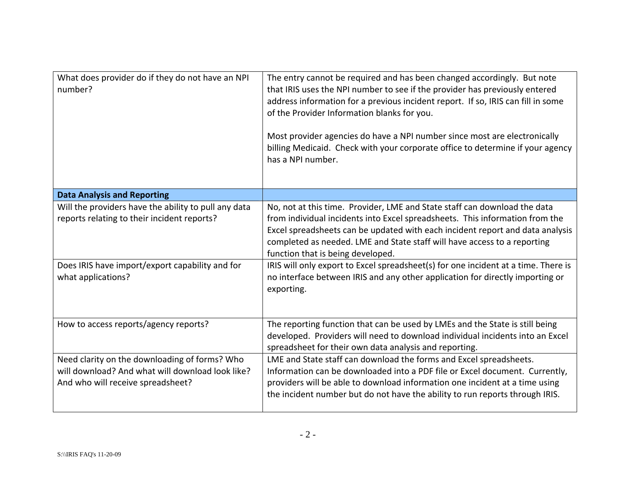| What does provider do if they do not have an NPI<br>number?                                                                                                                  | The entry cannot be required and has been changed accordingly. But note<br>that IRIS uses the NPI number to see if the provider has previously entered<br>address information for a previous incident report. If so, IRIS can fill in some<br>of the Provider Information blanks for you.<br>Most provider agencies do have a NPI number since most are electronically<br>billing Medicaid. Check with your corporate office to determine if your agency<br>has a NPI number.                                                                    |
|------------------------------------------------------------------------------------------------------------------------------------------------------------------------------|--------------------------------------------------------------------------------------------------------------------------------------------------------------------------------------------------------------------------------------------------------------------------------------------------------------------------------------------------------------------------------------------------------------------------------------------------------------------------------------------------------------------------------------------------|
| <b>Data Analysis and Reporting</b>                                                                                                                                           |                                                                                                                                                                                                                                                                                                                                                                                                                                                                                                                                                  |
| Will the providers have the ability to pull any data<br>reports relating to their incident reports?<br>Does IRIS have import/export capability and for<br>what applications? | No, not at this time. Provider, LME and State staff can download the data<br>from individual incidents into Excel spreadsheets. This information from the<br>Excel spreadsheets can be updated with each incident report and data analysis<br>completed as needed. LME and State staff will have access to a reporting<br>function that is being developed.<br>IRIS will only export to Excel spreadsheet(s) for one incident at a time. There is<br>no interface between IRIS and any other application for directly importing or<br>exporting. |
|                                                                                                                                                                              |                                                                                                                                                                                                                                                                                                                                                                                                                                                                                                                                                  |
| How to access reports/agency reports?                                                                                                                                        | The reporting function that can be used by LMEs and the State is still being<br>developed. Providers will need to download individual incidents into an Excel<br>spreadsheet for their own data analysis and reporting.                                                                                                                                                                                                                                                                                                                          |
| Need clarity on the downloading of forms? Who<br>will download? And what will download look like?<br>And who will receive spreadsheet?                                       | LME and State staff can download the forms and Excel spreadsheets.<br>Information can be downloaded into a PDF file or Excel document. Currently,<br>providers will be able to download information one incident at a time using<br>the incident number but do not have the ability to run reports through IRIS.                                                                                                                                                                                                                                 |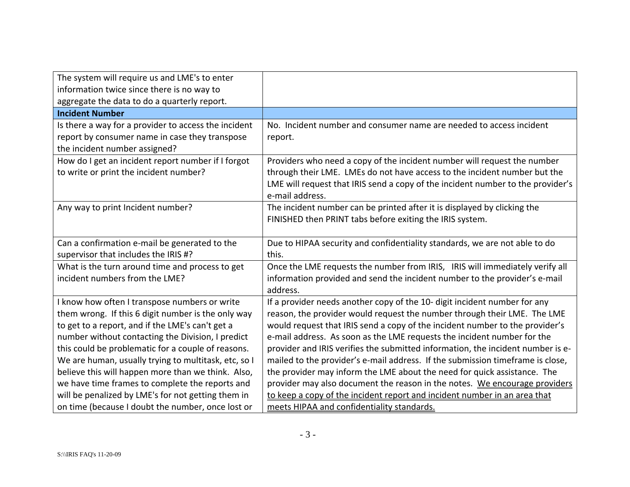| The system will require us and LME's to enter        |                                                                                 |
|------------------------------------------------------|---------------------------------------------------------------------------------|
| information twice since there is no way to           |                                                                                 |
| aggregate the data to do a quarterly report.         |                                                                                 |
| <b>Incident Number</b>                               |                                                                                 |
| Is there a way for a provider to access the incident | No. Incident number and consumer name are needed to access incident             |
| report by consumer name in case they transpose       | report.                                                                         |
| the incident number assigned?                        |                                                                                 |
| How do I get an incident report number if I forgot   | Providers who need a copy of the incident number will request the number        |
| to write or print the incident number?               | through their LME. LMEs do not have access to the incident number but the       |
|                                                      | LME will request that IRIS send a copy of the incident number to the provider's |
|                                                      | e-mail address.                                                                 |
| Any way to print Incident number?                    | The incident number can be printed after it is displayed by clicking the        |
|                                                      | FINISHED then PRINT tabs before exiting the IRIS system.                        |
|                                                      |                                                                                 |
| Can a confirmation e-mail be generated to the        | Due to HIPAA security and confidentiality standards, we are not able to do      |
| supervisor that includes the IRIS #?                 | this.                                                                           |
| What is the turn around time and process to get      | Once the LME requests the number from IRIS, IRIS will immediately verify all    |
| incident numbers from the LME?                       | information provided and send the incident number to the provider's e-mail      |
|                                                      | address.                                                                        |
| I know how often I transpose numbers or write        | If a provider needs another copy of the 10- digit incident number for any       |
| them wrong. If this 6 digit number is the only way   | reason, the provider would request the number through their LME. The LME        |
| to get to a report, and if the LME's can't get a     | would request that IRIS send a copy of the incident number to the provider's    |
| number without contacting the Division, I predict    | e-mail address. As soon as the LME requests the incident number for the         |
| this could be problematic for a couple of reasons.   | provider and IRIS verifies the submitted information, the incident number is e- |
| We are human, usually trying to multitask, etc, so I | mailed to the provider's e-mail address. If the submission timeframe is close,  |
| believe this will happen more than we think. Also,   | the provider may inform the LME about the need for quick assistance. The        |
| we have time frames to complete the reports and      | provider may also document the reason in the notes. We encourage providers      |
| will be penalized by LME's for not getting them in   | to keep a copy of the incident report and incident number in an area that       |
| on time (because I doubt the number, once lost or    | meets HIPAA and confidentiality standards.                                      |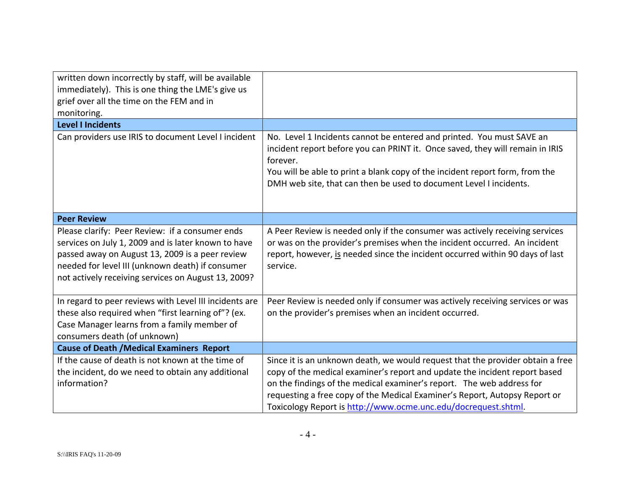| written down incorrectly by staff, will be available<br>immediately). This is one thing the LME's give us                                                                                                                                                            |                                                                                                                                                                                                                                                                                                                                                                                       |
|----------------------------------------------------------------------------------------------------------------------------------------------------------------------------------------------------------------------------------------------------------------------|---------------------------------------------------------------------------------------------------------------------------------------------------------------------------------------------------------------------------------------------------------------------------------------------------------------------------------------------------------------------------------------|
| grief over all the time on the FEM and in                                                                                                                                                                                                                            |                                                                                                                                                                                                                                                                                                                                                                                       |
| monitoring.                                                                                                                                                                                                                                                          |                                                                                                                                                                                                                                                                                                                                                                                       |
| <b>Level I Incidents</b>                                                                                                                                                                                                                                             |                                                                                                                                                                                                                                                                                                                                                                                       |
| Can providers use IRIS to document Level I incident                                                                                                                                                                                                                  | No. Level 1 Incidents cannot be entered and printed. You must SAVE an<br>incident report before you can PRINT it. Once saved, they will remain in IRIS<br>forever.<br>You will be able to print a blank copy of the incident report form, from the<br>DMH web site, that can then be used to document Level I incidents.                                                              |
| <b>Peer Review</b>                                                                                                                                                                                                                                                   |                                                                                                                                                                                                                                                                                                                                                                                       |
| Please clarify: Peer Review: if a consumer ends<br>services on July 1, 2009 and is later known to have<br>passed away on August 13, 2009 is a peer review<br>needed for level III (unknown death) if consumer<br>not actively receiving services on August 13, 2009? | A Peer Review is needed only if the consumer was actively receiving services<br>or was on the provider's premises when the incident occurred. An incident<br>report, however, is needed since the incident occurred within 90 days of last<br>service.                                                                                                                                |
| In regard to peer reviews with Level III incidents are<br>these also required when "first learning of"? (ex.<br>Case Manager learns from a family member of<br>consumers death (of unknown)                                                                          | Peer Review is needed only if consumer was actively receiving services or was<br>on the provider's premises when an incident occurred.                                                                                                                                                                                                                                                |
| <b>Cause of Death / Medical Examiners Report</b>                                                                                                                                                                                                                     |                                                                                                                                                                                                                                                                                                                                                                                       |
| If the cause of death is not known at the time of<br>the incident, do we need to obtain any additional<br>information?                                                                                                                                               | Since it is an unknown death, we would request that the provider obtain a free<br>copy of the medical examiner's report and update the incident report based<br>on the findings of the medical examiner's report. The web address for<br>requesting a free copy of the Medical Examiner's Report, Autopsy Report or<br>Toxicology Report is http://www.ocme.unc.edu/docrequest.shtml. |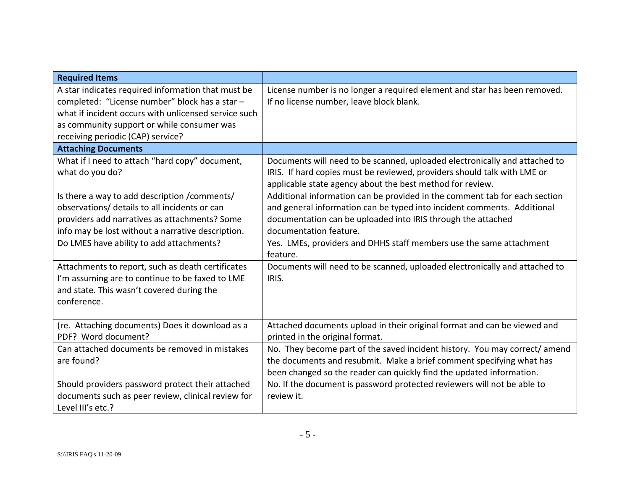| <b>Required Items</b>                                |                                                                                 |
|------------------------------------------------------|---------------------------------------------------------------------------------|
| A star indicates required information that must be   | License number is no longer a required element and star has been removed.       |
| completed: "License number" block has a star -       | If no license number, leave block blank.                                        |
| what if incident occurs with unlicensed service such |                                                                                 |
| as community support or while consumer was           |                                                                                 |
| receiving periodic (CAP) service?                    |                                                                                 |
| <b>Attaching Documents</b>                           |                                                                                 |
| What if I need to attach "hard copy" document,       | Documents will need to be scanned, uploaded electronically and attached to      |
| what do you do?                                      | IRIS. If hard copies must be reviewed, providers should talk with LME or        |
|                                                      | applicable state agency about the best method for review.                       |
| Is there a way to add description / comments/        | Additional information can be provided in the comment tab for each section      |
| observations/ details to all incidents or can        | and general information can be typed into incident comments. Additional         |
| providers add narratives as attachments? Some        | documentation can be uploaded into IRIS through the attached                    |
| info may be lost without a narrative description.    | documentation feature.                                                          |
| Do LMES have ability to add attachments?             | Yes. LMEs, providers and DHHS staff members use the same attachment<br>feature. |
| Attachments to report, such as death certificates    | Documents will need to be scanned, uploaded electronically and attached to      |
| I'm assuming are to continue to be faxed to LME      | IRIS.                                                                           |
| and state. This wasn't covered during the            |                                                                                 |
| conference.                                          |                                                                                 |
|                                                      |                                                                                 |
| (re. Attaching documents) Does it download as a      | Attached documents upload in their original format and can be viewed and        |
| PDF? Word document?                                  | printed in the original format.                                                 |
| Can attached documents be removed in mistakes        | No. They become part of the saved incident history. You may correct/ amend      |
| are found?                                           | the documents and resubmit. Make a brief comment specifying what has            |
|                                                      | been changed so the reader can quickly find the updated information.            |
| Should providers password protect their attached     | No. If the document is password protected reviewers will not be able to         |
| documents such as peer review, clinical review for   | review it.                                                                      |
| Level III's etc.?                                    |                                                                                 |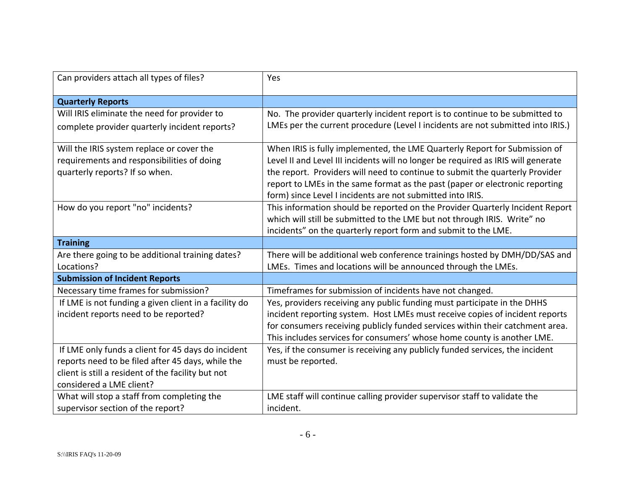| Can providers attach all types of files?                                                                                                                                                  | Yes                                                                                                                                                                                                                                                                                                                                                                                           |
|-------------------------------------------------------------------------------------------------------------------------------------------------------------------------------------------|-----------------------------------------------------------------------------------------------------------------------------------------------------------------------------------------------------------------------------------------------------------------------------------------------------------------------------------------------------------------------------------------------|
| <b>Quarterly Reports</b>                                                                                                                                                                  |                                                                                                                                                                                                                                                                                                                                                                                               |
| Will IRIS eliminate the need for provider to<br>complete provider quarterly incident reports?                                                                                             | No. The provider quarterly incident report is to continue to be submitted to<br>LMEs per the current procedure (Level I incidents are not submitted into IRIS.)                                                                                                                                                                                                                               |
| Will the IRIS system replace or cover the<br>requirements and responsibilities of doing<br>quarterly reports? If so when.                                                                 | When IRIS is fully implemented, the LME Quarterly Report for Submission of<br>Level II and Level III incidents will no longer be required as IRIS will generate<br>the report. Providers will need to continue to submit the quarterly Provider<br>report to LMEs in the same format as the past (paper or electronic reporting<br>form) since Level I incidents are not submitted into IRIS. |
| How do you report "no" incidents?                                                                                                                                                         | This information should be reported on the Provider Quarterly Incident Report<br>which will still be submitted to the LME but not through IRIS. Write" no<br>incidents" on the quarterly report form and submit to the LME.                                                                                                                                                                   |
| <b>Training</b>                                                                                                                                                                           |                                                                                                                                                                                                                                                                                                                                                                                               |
| Are there going to be additional training dates?<br>Locations?                                                                                                                            | There will be additional web conference trainings hosted by DMH/DD/SAS and<br>LMEs. Times and locations will be announced through the LMEs.                                                                                                                                                                                                                                                   |
| <b>Submission of Incident Reports</b>                                                                                                                                                     |                                                                                                                                                                                                                                                                                                                                                                                               |
| Necessary time frames for submission?                                                                                                                                                     | Timeframes for submission of incidents have not changed.                                                                                                                                                                                                                                                                                                                                      |
| If LME is not funding a given client in a facility do<br>incident reports need to be reported?                                                                                            | Yes, providers receiving any public funding must participate in the DHHS<br>incident reporting system. Host LMEs must receive copies of incident reports<br>for consumers receiving publicly funded services within their catchment area.<br>This includes services for consumers' whose home county is another LME.                                                                          |
| If LME only funds a client for 45 days do incident<br>reports need to be filed after 45 days, while the<br>client is still a resident of the facility but not<br>considered a LME client? | Yes, if the consumer is receiving any publicly funded services, the incident<br>must be reported.                                                                                                                                                                                                                                                                                             |
| What will stop a staff from completing the<br>supervisor section of the report?                                                                                                           | LME staff will continue calling provider supervisor staff to validate the<br>incident.                                                                                                                                                                                                                                                                                                        |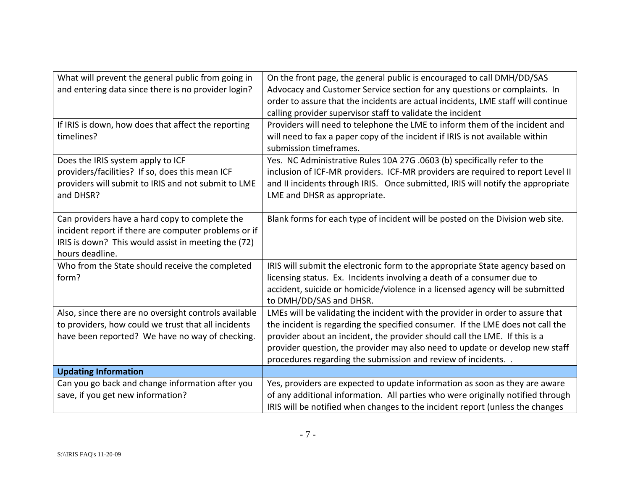| What will prevent the general public from going in<br>and entering data since there is no provider login?                                                                        | On the front page, the general public is encouraged to call DMH/DD/SAS<br>Advocacy and Customer Service section for any questions or complaints. In<br>order to assure that the incidents are actual incidents, LME staff will continue<br>calling provider supervisor staff to validate the incident                                                                                         |
|----------------------------------------------------------------------------------------------------------------------------------------------------------------------------------|-----------------------------------------------------------------------------------------------------------------------------------------------------------------------------------------------------------------------------------------------------------------------------------------------------------------------------------------------------------------------------------------------|
| If IRIS is down, how does that affect the reporting<br>timelines?                                                                                                                | Providers will need to telephone the LME to inform them of the incident and<br>will need to fax a paper copy of the incident if IRIS is not available within<br>submission timeframes.                                                                                                                                                                                                        |
| Does the IRIS system apply to ICF<br>providers/facilities? If so, does this mean ICF<br>providers will submit to IRIS and not submit to LME<br>and DHSR?                         | Yes. NC Administrative Rules 10A 27G .0603 (b) specifically refer to the<br>inclusion of ICF-MR providers. ICF-MR providers are required to report Level II<br>and II incidents through IRIS. Once submitted, IRIS will notify the appropriate<br>LME and DHSR as appropriate.                                                                                                                |
| Can providers have a hard copy to complete the<br>incident report if there are computer problems or if<br>IRIS is down? This would assist in meeting the (72)<br>hours deadline. | Blank forms for each type of incident will be posted on the Division web site.                                                                                                                                                                                                                                                                                                                |
| Who from the State should receive the completed<br>form?                                                                                                                         | IRIS will submit the electronic form to the appropriate State agency based on<br>licensing status. Ex. Incidents involving a death of a consumer due to<br>accident, suicide or homicide/violence in a licensed agency will be submitted<br>to DMH/DD/SAS and DHSR.                                                                                                                           |
| Also, since there are no oversight controls available<br>to providers, how could we trust that all incidents<br>have been reported? We have no way of checking.                  | LMEs will be validating the incident with the provider in order to assure that<br>the incident is regarding the specified consumer. If the LME does not call the<br>provider about an incident, the provider should call the LME. If this is a<br>provider question, the provider may also need to update or develop new staff<br>procedures regarding the submission and review of incidents |
| <b>Updating Information</b>                                                                                                                                                      |                                                                                                                                                                                                                                                                                                                                                                                               |
| Can you go back and change information after you<br>save, if you get new information?                                                                                            | Yes, providers are expected to update information as soon as they are aware<br>of any additional information. All parties who were originally notified through<br>IRIS will be notified when changes to the incident report (unless the changes                                                                                                                                               |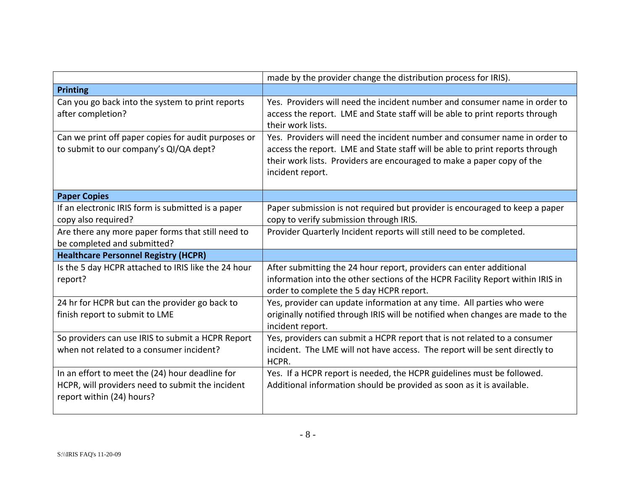|                                                                                                                                  | made by the provider change the distribution process for IRIS).                                                                                                                                                                                          |
|----------------------------------------------------------------------------------------------------------------------------------|----------------------------------------------------------------------------------------------------------------------------------------------------------------------------------------------------------------------------------------------------------|
| <b>Printing</b>                                                                                                                  |                                                                                                                                                                                                                                                          |
| Can you go back into the system to print reports<br>after completion?                                                            | Yes. Providers will need the incident number and consumer name in order to<br>access the report. LME and State staff will be able to print reports through<br>their work lists.                                                                          |
| Can we print off paper copies for audit purposes or<br>to submit to our company's QI/QA dept?                                    | Yes. Providers will need the incident number and consumer name in order to<br>access the report. LME and State staff will be able to print reports through<br>their work lists. Providers are encouraged to make a paper copy of the<br>incident report. |
| <b>Paper Copies</b>                                                                                                              |                                                                                                                                                                                                                                                          |
| If an electronic IRIS form is submitted is a paper<br>copy also required?                                                        | Paper submission is not required but provider is encouraged to keep a paper<br>copy to verify submission through IRIS.                                                                                                                                   |
| Are there any more paper forms that still need to<br>be completed and submitted?                                                 | Provider Quarterly Incident reports will still need to be completed.                                                                                                                                                                                     |
| <b>Healthcare Personnel Registry (HCPR)</b>                                                                                      |                                                                                                                                                                                                                                                          |
| Is the 5 day HCPR attached to IRIS like the 24 hour<br>report?                                                                   | After submitting the 24 hour report, providers can enter additional<br>information into the other sections of the HCPR Facility Report within IRIS in<br>order to complete the 5 day HCPR report.                                                        |
| 24 hr for HCPR but can the provider go back to<br>finish report to submit to LME                                                 | Yes, provider can update information at any time. All parties who were<br>originally notified through IRIS will be notified when changes are made to the<br>incident report.                                                                             |
| So providers can use IRIS to submit a HCPR Report<br>when not related to a consumer incident?                                    | Yes, providers can submit a HCPR report that is not related to a consumer<br>incident. The LME will not have access. The report will be sent directly to<br>HCPR.                                                                                        |
| In an effort to meet the (24) hour deadline for<br>HCPR, will providers need to submit the incident<br>report within (24) hours? | Yes. If a HCPR report is needed, the HCPR guidelines must be followed.<br>Additional information should be provided as soon as it is available.                                                                                                          |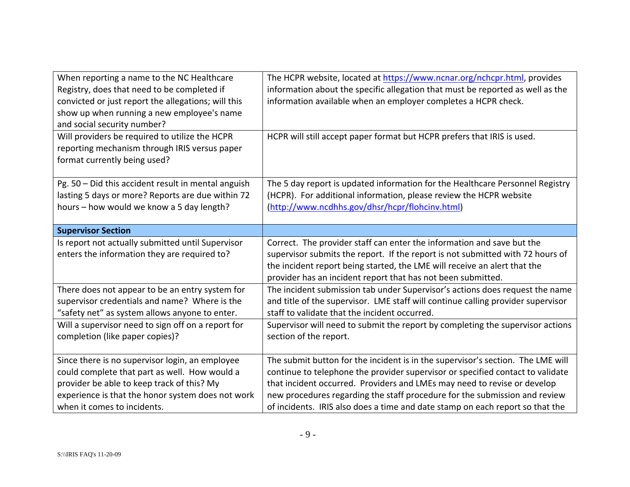| When reporting a name to the NC Healthcare<br>Registry, does that need to be completed if<br>convicted or just report the allegations; will this<br>show up when running a new employee's name<br>and social security number? | The HCPR website, located at https://www.ncnar.org/nchcpr.html, provides<br>information about the specific allegation that must be reported as well as the<br>information available when an employer completes a HCPR check. |
|-------------------------------------------------------------------------------------------------------------------------------------------------------------------------------------------------------------------------------|------------------------------------------------------------------------------------------------------------------------------------------------------------------------------------------------------------------------------|
| Will providers be required to utilize the HCPR<br>reporting mechanism through IRIS versus paper<br>format currently being used?                                                                                               | HCPR will still accept paper format but HCPR prefers that IRIS is used.                                                                                                                                                      |
| Pg. 50 - Did this accident result in mental anguish                                                                                                                                                                           | The 5 day report is updated information for the Healthcare Personnel Registry                                                                                                                                                |
| lasting 5 days or more? Reports are due within 72                                                                                                                                                                             | (HCPR). For additional information, please review the HCPR website                                                                                                                                                           |
| hours - how would we know a 5 day length?                                                                                                                                                                                     | (http://www.ncdhhs.gov/dhsr/hcpr/flohcinv.html)                                                                                                                                                                              |
| <b>Supervisor Section</b>                                                                                                                                                                                                     |                                                                                                                                                                                                                              |
| Is report not actually submitted until Supervisor                                                                                                                                                                             | Correct. The provider staff can enter the information and save but the                                                                                                                                                       |
| enters the information they are required to?                                                                                                                                                                                  | supervisor submits the report. If the report is not submitted with 72 hours of                                                                                                                                               |
|                                                                                                                                                                                                                               | the incident report being started, the LME will receive an alert that the                                                                                                                                                    |
|                                                                                                                                                                                                                               | provider has an incident report that has not been submitted.                                                                                                                                                                 |
| There does not appear to be an entry system for                                                                                                                                                                               | The incident submission tab under Supervisor's actions does request the name                                                                                                                                                 |
| supervisor credentials and name? Where is the                                                                                                                                                                                 | and title of the supervisor. LME staff will continue calling provider supervisor                                                                                                                                             |
| "safety net" as system allows anyone to enter.                                                                                                                                                                                | staff to validate that the incident occurred.                                                                                                                                                                                |
| Will a supervisor need to sign off on a report for                                                                                                                                                                            | Supervisor will need to submit the report by completing the supervisor actions                                                                                                                                               |
| completion (like paper copies)?                                                                                                                                                                                               | section of the report.                                                                                                                                                                                                       |
| Since there is no supervisor login, an employee                                                                                                                                                                               | The submit button for the incident is in the supervisor's section. The LME will                                                                                                                                              |
| could complete that part as well. How would a                                                                                                                                                                                 | continue to telephone the provider supervisor or specified contact to validate                                                                                                                                               |
| provider be able to keep track of this? My                                                                                                                                                                                    | that incident occurred. Providers and LMEs may need to revise or develop                                                                                                                                                     |
| experience is that the honor system does not work                                                                                                                                                                             | new procedures regarding the staff procedure for the submission and review                                                                                                                                                   |
| when it comes to incidents.                                                                                                                                                                                                   | of incidents. IRIS also does a time and date stamp on each report so that the                                                                                                                                                |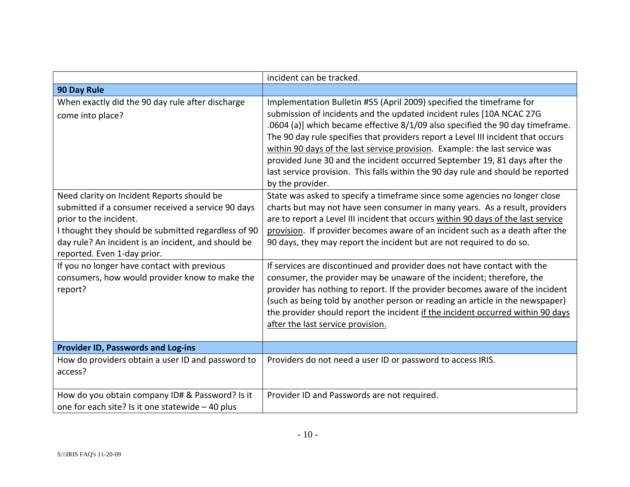|                                                                                                                                                                                                                                                                                                                  | incident can be tracked.                                                                                                                                                                                                                                                                                                                                                                                                                                                                                                                                                                                                                                                                                                                                                                                                                                                                                                                                                                          |
|------------------------------------------------------------------------------------------------------------------------------------------------------------------------------------------------------------------------------------------------------------------------------------------------------------------|---------------------------------------------------------------------------------------------------------------------------------------------------------------------------------------------------------------------------------------------------------------------------------------------------------------------------------------------------------------------------------------------------------------------------------------------------------------------------------------------------------------------------------------------------------------------------------------------------------------------------------------------------------------------------------------------------------------------------------------------------------------------------------------------------------------------------------------------------------------------------------------------------------------------------------------------------------------------------------------------------|
| 90 Day Rule                                                                                                                                                                                                                                                                                                      |                                                                                                                                                                                                                                                                                                                                                                                                                                                                                                                                                                                                                                                                                                                                                                                                                                                                                                                                                                                                   |
| When exactly did the 90 day rule after discharge<br>come into place?<br>Need clarity on Incident Reports should be<br>submitted if a consumer received a service 90 days<br>prior to the incident.<br>I thought they should be submitted regardless of 90<br>day rule? An incident is an incident, and should be | Implementation Bulletin #55 (April 2009) specified the timeframe for<br>submission of incidents and the updated incident rules [10A NCAC 27G<br>.0604 (a)] which became effective 8/1/09 also specified the 90 day timeframe.<br>The 90 day rule specifies that providers report a Level III incident that occurs<br>within 90 days of the last service provision. Example: the last service was<br>provided June 30 and the incident occurred September 19, 81 days after the<br>last service provision. This falls within the 90 day rule and should be reported<br>by the provider.<br>State was asked to specify a timeframe since some agencies no longer close<br>charts but may not have seen consumer in many years. As a result, providers<br>are to report a Level III incident that occurs within 90 days of the last service<br>provision. If provider becomes aware of an incident such as a death after the<br>90 days, they may report the incident but are not required to do so. |
| reported. Even 1-day prior.<br>If you no longer have contact with previous<br>consumers, how would provider know to make the<br>report?                                                                                                                                                                          | If services are discontinued and provider does not have contact with the<br>consumer, the provider may be unaware of the incident; therefore, the<br>provider has nothing to report. If the provider becomes aware of the incident<br>(such as being told by another person or reading an article in the newspaper)<br>the provider should report the incident if the incident occurred within 90 days<br>after the last service provision.                                                                                                                                                                                                                                                                                                                                                                                                                                                                                                                                                       |
| <b>Provider ID, Passwords and Log-ins</b>                                                                                                                                                                                                                                                                        |                                                                                                                                                                                                                                                                                                                                                                                                                                                                                                                                                                                                                                                                                                                                                                                                                                                                                                                                                                                                   |
| How do providers obtain a user ID and password to<br>access?                                                                                                                                                                                                                                                     | Providers do not need a user ID or password to access IRIS.                                                                                                                                                                                                                                                                                                                                                                                                                                                                                                                                                                                                                                                                                                                                                                                                                                                                                                                                       |
| How do you obtain company ID# & Password? Is it<br>one for each site? Is it one statewide - 40 plus                                                                                                                                                                                                              | Provider ID and Passwords are not required.                                                                                                                                                                                                                                                                                                                                                                                                                                                                                                                                                                                                                                                                                                                                                                                                                                                                                                                                                       |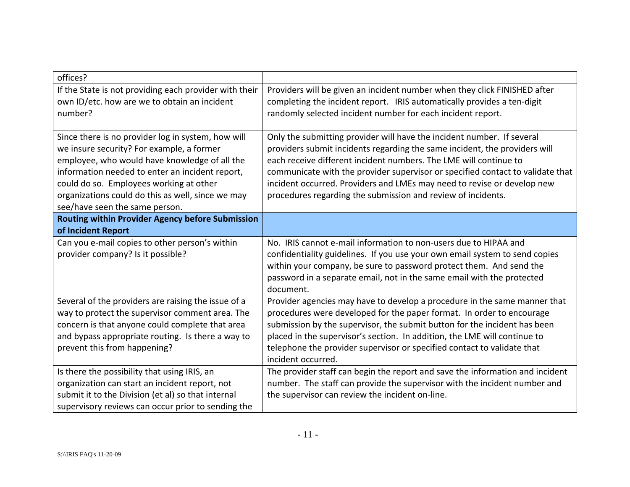| offices?                                                                                                                                                                                                                                                                                                                              |                                                                                                                                                                                                                                                                                                                                                                                                                                                        |
|---------------------------------------------------------------------------------------------------------------------------------------------------------------------------------------------------------------------------------------------------------------------------------------------------------------------------------------|--------------------------------------------------------------------------------------------------------------------------------------------------------------------------------------------------------------------------------------------------------------------------------------------------------------------------------------------------------------------------------------------------------------------------------------------------------|
| If the State is not providing each provider with their<br>own ID/etc. how are we to obtain an incident<br>number?                                                                                                                                                                                                                     | Providers will be given an incident number when they click FINISHED after<br>completing the incident report. IRIS automatically provides a ten-digit<br>randomly selected incident number for each incident report.                                                                                                                                                                                                                                    |
| Since there is no provider log in system, how will<br>we insure security? For example, a former<br>employee, who would have knowledge of all the<br>information needed to enter an incident report,<br>could do so. Employees working at other<br>organizations could do this as well, since we may<br>see/have seen the same person. | Only the submitting provider will have the incident number. If several<br>providers submit incidents regarding the same incident, the providers will<br>each receive different incident numbers. The LME will continue to<br>communicate with the provider supervisor or specified contact to validate that<br>incident occurred. Providers and LMEs may need to revise or develop new<br>procedures regarding the submission and review of incidents. |
| <b>Routing within Provider Agency before Submission</b><br>of Incident Report                                                                                                                                                                                                                                                         |                                                                                                                                                                                                                                                                                                                                                                                                                                                        |
| Can you e-mail copies to other person's within<br>provider company? Is it possible?                                                                                                                                                                                                                                                   | No. IRIS cannot e-mail information to non-users due to HIPAA and<br>confidentiality guidelines. If you use your own email system to send copies<br>within your company, be sure to password protect them. And send the<br>password in a separate email, not in the same email with the protected<br>document.                                                                                                                                          |
| Several of the providers are raising the issue of a<br>way to protect the supervisor comment area. The<br>concern is that anyone could complete that area<br>and bypass appropriate routing. Is there a way to<br>prevent this from happening?                                                                                        | Provider agencies may have to develop a procedure in the same manner that<br>procedures were developed for the paper format. In order to encourage<br>submission by the supervisor, the submit button for the incident has been<br>placed in the supervisor's section. In addition, the LME will continue to<br>telephone the provider supervisor or specified contact to validate that<br>incident occurred.                                          |
| Is there the possibility that using IRIS, an<br>organization can start an incident report, not<br>submit it to the Division (et al) so that internal<br>supervisory reviews can occur prior to sending the                                                                                                                            | The provider staff can begin the report and save the information and incident<br>number. The staff can provide the supervisor with the incident number and<br>the supervisor can review the incident on-line.                                                                                                                                                                                                                                          |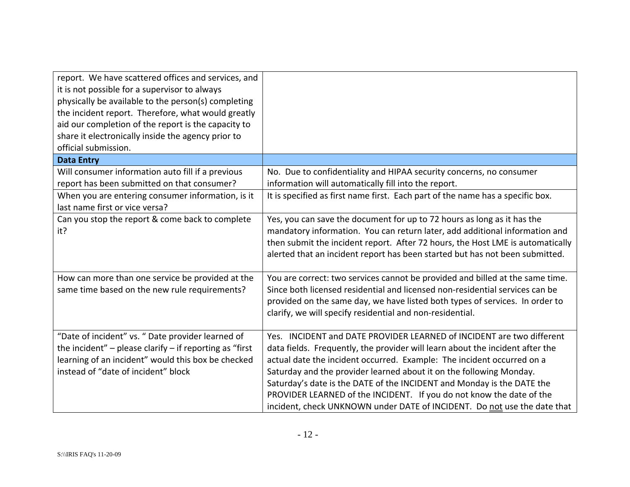| report. We have scattered offices and services, and         |                                                                                |
|-------------------------------------------------------------|--------------------------------------------------------------------------------|
| it is not possible for a supervisor to always               |                                                                                |
| physically be available to the person(s) completing         |                                                                                |
| the incident report. Therefore, what would greatly          |                                                                                |
| aid our completion of the report is the capacity to         |                                                                                |
| share it electronically inside the agency prior to          |                                                                                |
| official submission.                                        |                                                                                |
| <b>Data Entry</b>                                           |                                                                                |
| Will consumer information auto fill if a previous           | No. Due to confidentiality and HIPAA security concerns, no consumer            |
| report has been submitted on that consumer?                 | information will automatically fill into the report.                           |
| When you are entering consumer information, is it           | It is specified as first name first. Each part of the name has a specific box. |
| last name first or vice versa?                              |                                                                                |
| Can you stop the report & come back to complete             | Yes, you can save the document for up to 72 hours as long as it has the        |
| it?                                                         | mandatory information. You can return later, add additional information and    |
|                                                             | then submit the incident report. After 72 hours, the Host LME is automatically |
|                                                             | alerted that an incident report has been started but has not been submitted.   |
|                                                             |                                                                                |
| How can more than one service be provided at the            | You are correct: two services cannot be provided and billed at the same time.  |
| same time based on the new rule requirements?               | Since both licensed residential and licensed non-residential services can be   |
|                                                             | provided on the same day, we have listed both types of services. In order to   |
|                                                             | clarify, we will specify residential and non-residential.                      |
|                                                             |                                                                                |
| "Date of incident" vs. " Date provider learned of           | Yes. INCIDENT and DATE PROVIDER LEARNED of INCIDENT are two different          |
| the incident" $-$ please clarify $-$ if reporting as "first | data fields. Frequently, the provider will learn about the incident after the  |
| learning of an incident" would this box be checked          | actual date the incident occurred. Example: The incident occurred on a         |
| instead of "date of incident" block                         | Saturday and the provider learned about it on the following Monday.            |
|                                                             | Saturday's date is the DATE of the INCIDENT and Monday is the DATE the         |
|                                                             | PROVIDER LEARNED of the INCIDENT. If you do not know the date of the           |
|                                                             | incident, check UNKNOWN under DATE of INCIDENT. Do not use the date that       |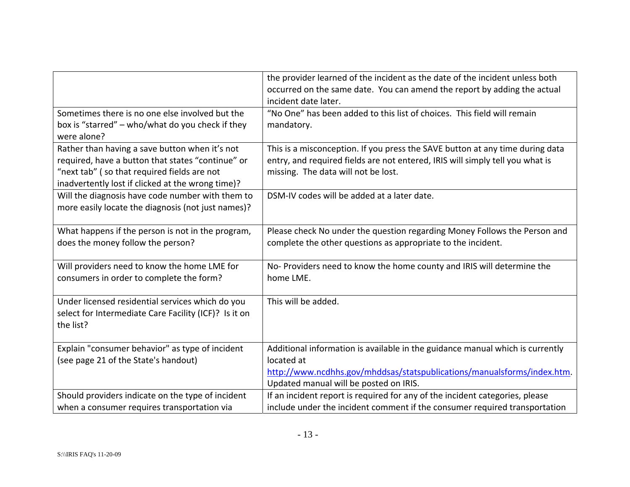|                                                                                                                                                                                                         | the provider learned of the incident as the date of the incident unless both<br>occurred on the same date. You can amend the report by adding the actual<br>incident date later.                                 |
|---------------------------------------------------------------------------------------------------------------------------------------------------------------------------------------------------------|------------------------------------------------------------------------------------------------------------------------------------------------------------------------------------------------------------------|
| Sometimes there is no one else involved but the<br>box is "starred" - who/what do you check if they<br>were alone?                                                                                      | "No One" has been added to this list of choices. This field will remain<br>mandatory.                                                                                                                            |
| Rather than having a save button when it's not<br>required, have a button that states "continue" or<br>"next tab" (so that required fields are not<br>inadvertently lost if clicked at the wrong time)? | This is a misconception. If you press the SAVE button at any time during data<br>entry, and required fields are not entered, IRIS will simply tell you what is<br>missing. The data will not be lost.            |
| Will the diagnosis have code number with them to<br>more easily locate the diagnosis (not just names)?                                                                                                  | DSM-IV codes will be added at a later date.                                                                                                                                                                      |
| What happens if the person is not in the program,<br>does the money follow the person?                                                                                                                  | Please check No under the question regarding Money Follows the Person and<br>complete the other questions as appropriate to the incident.                                                                        |
| Will providers need to know the home LME for<br>consumers in order to complete the form?                                                                                                                | No- Providers need to know the home county and IRIS will determine the<br>home LME.                                                                                                                              |
| Under licensed residential services which do you<br>select for Intermediate Care Facility (ICF)? Is it on<br>the list?                                                                                  | This will be added.                                                                                                                                                                                              |
| Explain "consumer behavior" as type of incident<br>(see page 21 of the State's handout)                                                                                                                 | Additional information is available in the guidance manual which is currently<br>located at<br>http://www.ncdhhs.gov/mhddsas/statspublications/manualsforms/index.htm.<br>Updated manual will be posted on IRIS. |
| Should providers indicate on the type of incident<br>when a consumer requires transportation via                                                                                                        | If an incident report is required for any of the incident categories, please<br>include under the incident comment if the consumer required transportation                                                       |

- 13 -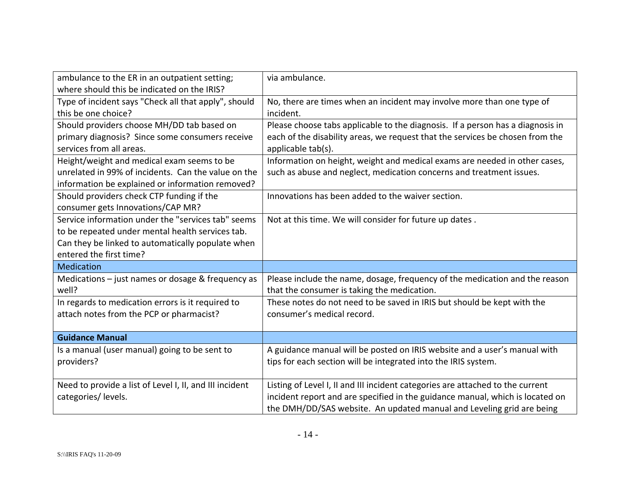| ambulance to the ER in an outpatient setting;           | via ambulance.                                                                 |
|---------------------------------------------------------|--------------------------------------------------------------------------------|
| where should this be indicated on the IRIS?             |                                                                                |
| Type of incident says "Check all that apply", should    | No, there are times when an incident may involve more than one type of         |
| this be one choice?                                     | incident.                                                                      |
| Should providers choose MH/DD tab based on              | Please choose tabs applicable to the diagnosis. If a person has a diagnosis in |
| primary diagnosis? Since some consumers receive         | each of the disability areas, we request that the services be chosen from the  |
| services from all areas.                                | applicable tab(s).                                                             |
| Height/weight and medical exam seems to be              | Information on height, weight and medical exams are needed in other cases,     |
| unrelated in 99% of incidents. Can the value on the     | such as abuse and neglect, medication concerns and treatment issues.           |
| information be explained or information removed?        |                                                                                |
| Should providers check CTP funding if the               | Innovations has been added to the waiver section.                              |
| consumer gets Innovations/CAP MR?                       |                                                                                |
| Service information under the "services tab" seems      | Not at this time. We will consider for future up dates.                        |
| to be repeated under mental health services tab.        |                                                                                |
| Can they be linked to automatically populate when       |                                                                                |
| entered the first time?                                 |                                                                                |
| Medication                                              |                                                                                |
| Medications $-$ just names or dosage & frequency as     | Please include the name, dosage, frequency of the medication and the reason    |
| well?                                                   | that the consumer is taking the medication.                                    |
| In regards to medication errors is it required to       | These notes do not need to be saved in IRIS but should be kept with the        |
| attach notes from the PCP or pharmacist?                | consumer's medical record.                                                     |
|                                                         |                                                                                |
| <b>Guidance Manual</b>                                  |                                                                                |
| Is a manual (user manual) going to be sent to           | A guidance manual will be posted on IRIS website and a user's manual with      |
| providers?                                              | tips for each section will be integrated into the IRIS system.                 |
|                                                         |                                                                                |
| Need to provide a list of Level I, II, and III incident | Listing of Level I, II and III incident categories are attached to the current |
| categories/levels.                                      | incident report and are specified in the guidance manual, which is located on  |
|                                                         | the DMH/DD/SAS website. An updated manual and Leveling grid are being          |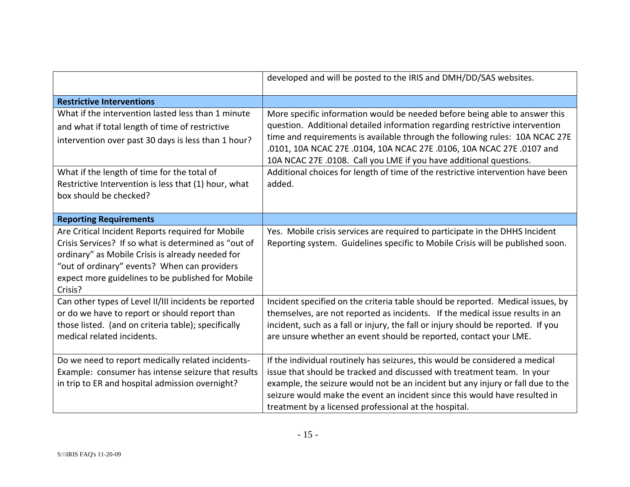|                                                                                                                                                                                                                                                                               | developed and will be posted to the IRIS and DMH/DD/SAS websites.                                                                                                                                                                                                                                                                                                                         |
|-------------------------------------------------------------------------------------------------------------------------------------------------------------------------------------------------------------------------------------------------------------------------------|-------------------------------------------------------------------------------------------------------------------------------------------------------------------------------------------------------------------------------------------------------------------------------------------------------------------------------------------------------------------------------------------|
| <b>Restrictive Interventions</b>                                                                                                                                                                                                                                              |                                                                                                                                                                                                                                                                                                                                                                                           |
| What if the intervention lasted less than 1 minute<br>and what if total length of time of restrictive<br>intervention over past 30 days is less than 1 hour?                                                                                                                  | More specific information would be needed before being able to answer this<br>question. Additional detailed information regarding restrictive intervention<br>time and requirements is available through the following rules: 10A NCAC 27E<br>.0101, 10A NCAC 27E .0104, 10A NCAC 27E .0106, 10A NCAC 27E .0107 and<br>10A NCAC 27E .0108. Call you LME if you have additional questions. |
| What if the length of time for the total of<br>Restrictive Intervention is less that (1) hour, what<br>box should be checked?                                                                                                                                                 | Additional choices for length of time of the restrictive intervention have been<br>added.                                                                                                                                                                                                                                                                                                 |
| <b>Reporting Requirements</b>                                                                                                                                                                                                                                                 |                                                                                                                                                                                                                                                                                                                                                                                           |
| Are Critical Incident Reports required for Mobile<br>Crisis Services? If so what is determined as "out of<br>ordinary" as Mobile Crisis is already needed for<br>"out of ordinary" events? When can providers<br>expect more guidelines to be published for Mobile<br>Crisis? | Yes. Mobile crisis services are required to participate in the DHHS Incident<br>Reporting system. Guidelines specific to Mobile Crisis will be published soon.                                                                                                                                                                                                                            |
| Can other types of Level II/III incidents be reported<br>or do we have to report or should report than<br>those listed. (and on criteria table); specifically<br>medical related incidents.                                                                                   | Incident specified on the criteria table should be reported. Medical issues, by<br>themselves, are not reported as incidents. If the medical issue results in an<br>incident, such as a fall or injury, the fall or injury should be reported. If you<br>are unsure whether an event should be reported, contact your LME.                                                                |
| Do we need to report medically related incidents-<br>Example: consumer has intense seizure that results<br>in trip to ER and hospital admission overnight?                                                                                                                    | If the individual routinely has seizures, this would be considered a medical<br>issue that should be tracked and discussed with treatment team. In your<br>example, the seizure would not be an incident but any injury or fall due to the<br>seizure would make the event an incident since this would have resulted in<br>treatment by a licensed professional at the hospital.         |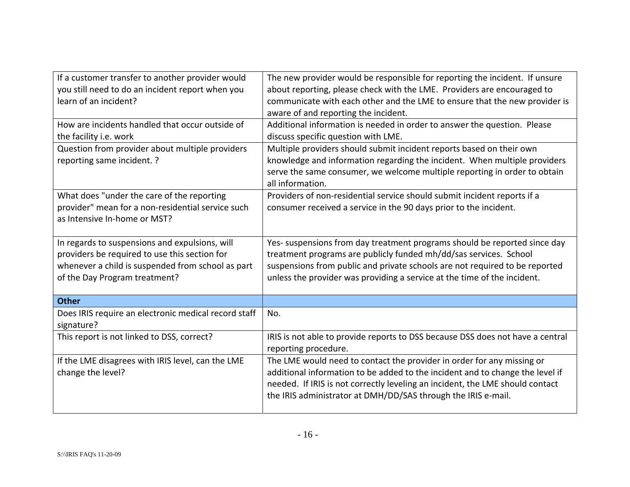| If a customer transfer to another provider would<br>you still need to do an incident report when you<br>learn of an incident?                        | The new provider would be responsible for reporting the incident. If unsure<br>about reporting, please check with the LME. Providers are encouraged to<br>communicate with each other and the LME to ensure that the new provider is<br>aware of and reporting the incident.                              |
|------------------------------------------------------------------------------------------------------------------------------------------------------|-----------------------------------------------------------------------------------------------------------------------------------------------------------------------------------------------------------------------------------------------------------------------------------------------------------|
| How are incidents handled that occur outside of                                                                                                      | Additional information is needed in order to answer the question. Please                                                                                                                                                                                                                                  |
| the facility i.e. work                                                                                                                               | discuss specific question with LME.                                                                                                                                                                                                                                                                       |
| Question from provider about multiple providers                                                                                                      | Multiple providers should submit incident reports based on their own                                                                                                                                                                                                                                      |
| reporting same incident. ?                                                                                                                           | knowledge and information regarding the incident. When multiple providers                                                                                                                                                                                                                                 |
|                                                                                                                                                      | serve the same consumer, we welcome multiple reporting in order to obtain<br>all information.                                                                                                                                                                                                             |
| What does "under the care of the reporting                                                                                                           | Providers of non-residential service should submit incident reports if a                                                                                                                                                                                                                                  |
| provider" mean for a non-residential service such                                                                                                    | consumer received a service in the 90 days prior to the incident.                                                                                                                                                                                                                                         |
| as Intensive In-home or MST?                                                                                                                         |                                                                                                                                                                                                                                                                                                           |
| In regards to suspensions and expulsions, will<br>providers be required to use this section for<br>whenever a child is suspended from school as part | Yes- suspensions from day treatment programs should be reported since day<br>treatment programs are publicly funded mh/dd/sas services. School<br>suspensions from public and private schools are not required to be reported                                                                             |
| of the Day Program treatment?                                                                                                                        | unless the provider was providing a service at the time of the incident.                                                                                                                                                                                                                                  |
| <b>Other</b>                                                                                                                                         |                                                                                                                                                                                                                                                                                                           |
| Does IRIS require an electronic medical record staff<br>signature?                                                                                   | No.                                                                                                                                                                                                                                                                                                       |
| This report is not linked to DSS, correct?                                                                                                           | IRIS is not able to provide reports to DSS because DSS does not have a central<br>reporting procedure.                                                                                                                                                                                                    |
| If the LME disagrees with IRIS level, can the LME<br>change the level?                                                                               | The LME would need to contact the provider in order for any missing or<br>additional information to be added to the incident and to change the level if<br>needed. If IRIS is not correctly leveling an incident, the LME should contact<br>the IRIS administrator at DMH/DD/SAS through the IRIS e-mail. |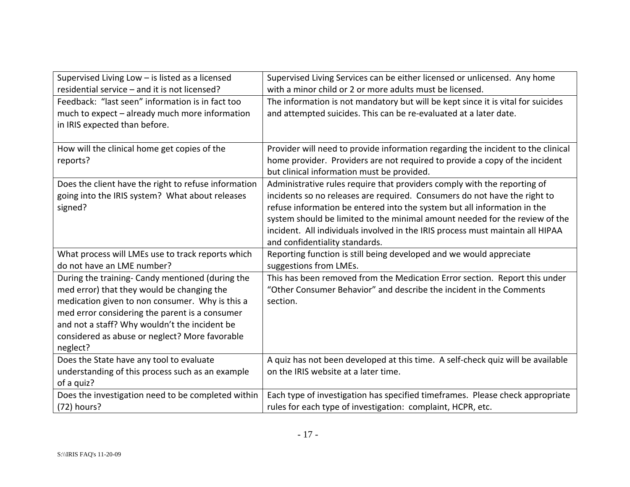| Supervised Living Low $-$ is listed as a licensed    | Supervised Living Services can be either licensed or unlicensed. Any home        |
|------------------------------------------------------|----------------------------------------------------------------------------------|
| residential service - and it is not licensed?        | with a minor child or 2 or more adults must be licensed.                         |
| Feedback: "last seen" information is in fact too     | The information is not mandatory but will be kept since it is vital for suicides |
| much to expect - already much more information       | and attempted suicides. This can be re-evaluated at a later date.                |
| in IRIS expected than before.                        |                                                                                  |
|                                                      |                                                                                  |
| How will the clinical home get copies of the         | Provider will need to provide information regarding the incident to the clinical |
| reports?                                             | home provider. Providers are not required to provide a copy of the incident      |
|                                                      | but clinical information must be provided.                                       |
| Does the client have the right to refuse information | Administrative rules require that providers comply with the reporting of         |
| going into the IRIS system? What about releases      | incidents so no releases are required. Consumers do not have the right to        |
| signed?                                              | refuse information be entered into the system but all information in the         |
|                                                      | system should be limited to the minimal amount needed for the review of the      |
|                                                      | incident. All individuals involved in the IRIS process must maintain all HIPAA   |
|                                                      | and confidentiality standards.                                                   |
| What process will LMEs use to track reports which    | Reporting function is still being developed and we would appreciate              |
| do not have an LME number?                           | suggestions from LMEs.                                                           |
| During the training- Candy mentioned (during the     | This has been removed from the Medication Error section. Report this under       |
| med error) that they would be changing the           | "Other Consumer Behavior" and describe the incident in the Comments              |
| medication given to non consumer. Why is this a      | section.                                                                         |
| med error considering the parent is a consumer       |                                                                                  |
| and not a staff? Why wouldn't the incident be        |                                                                                  |
| considered as abuse or neglect? More favorable       |                                                                                  |
| neglect?                                             |                                                                                  |
| Does the State have any tool to evaluate             | A quiz has not been developed at this time. A self-check quiz will be available  |
| understanding of this process such as an example     | on the IRIS website at a later time.                                             |
| of a quiz?                                           |                                                                                  |
| Does the investigation need to be completed within   | Each type of investigation has specified timeframes. Please check appropriate    |
| (72) hours?                                          | rules for each type of investigation: complaint, HCPR, etc.                      |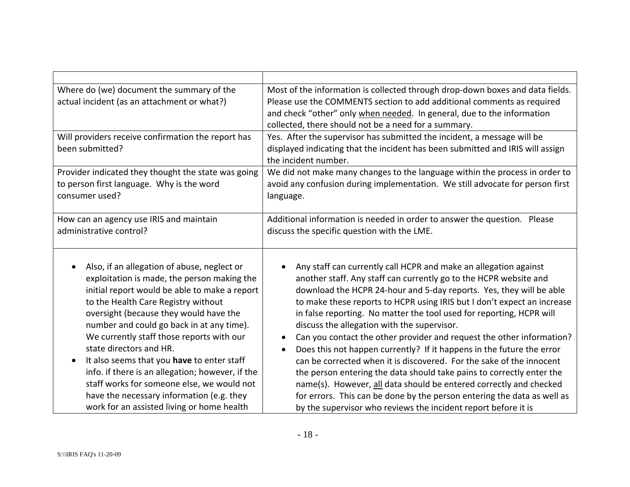| Where do (we) document the summary of the<br>actual incident (as an attachment or what?)                                                                                                                                                                                                                                                                                                                                                                                                                                                                                                     | Most of the information is collected through drop-down boxes and data fields.<br>Please use the COMMENTS section to add additional comments as required<br>and check "other" only when needed. In general, due to the information<br>collected, there should not be a need for a summary.                                                                                                                                                                                                                                                                                                                                                                                                                                                                                                                                                                                                                                                         |
|----------------------------------------------------------------------------------------------------------------------------------------------------------------------------------------------------------------------------------------------------------------------------------------------------------------------------------------------------------------------------------------------------------------------------------------------------------------------------------------------------------------------------------------------------------------------------------------------|---------------------------------------------------------------------------------------------------------------------------------------------------------------------------------------------------------------------------------------------------------------------------------------------------------------------------------------------------------------------------------------------------------------------------------------------------------------------------------------------------------------------------------------------------------------------------------------------------------------------------------------------------------------------------------------------------------------------------------------------------------------------------------------------------------------------------------------------------------------------------------------------------------------------------------------------------|
| Will providers receive confirmation the report has<br>been submitted?                                                                                                                                                                                                                                                                                                                                                                                                                                                                                                                        | Yes. After the supervisor has submitted the incident, a message will be<br>displayed indicating that the incident has been submitted and IRIS will assign<br>the incident number.                                                                                                                                                                                                                                                                                                                                                                                                                                                                                                                                                                                                                                                                                                                                                                 |
| Provider indicated they thought the state was going<br>to person first language. Why is the word<br>consumer used?                                                                                                                                                                                                                                                                                                                                                                                                                                                                           | We did not make many changes to the language within the process in order to<br>avoid any confusion during implementation. We still advocate for person first<br>language.                                                                                                                                                                                                                                                                                                                                                                                                                                                                                                                                                                                                                                                                                                                                                                         |
| How can an agency use IRIS and maintain<br>administrative control?                                                                                                                                                                                                                                                                                                                                                                                                                                                                                                                           | Additional information is needed in order to answer the question. Please<br>discuss the specific question with the LME.                                                                                                                                                                                                                                                                                                                                                                                                                                                                                                                                                                                                                                                                                                                                                                                                                           |
| Also, if an allegation of abuse, neglect or<br>exploitation is made, the person making the<br>initial report would be able to make a report<br>to the Health Care Registry without<br>oversight (because they would have the<br>number and could go back in at any time).<br>We currently staff those reports with our<br>state directors and HR.<br>It also seems that you have to enter staff<br>info. if there is an allegation; however, if the<br>staff works for someone else, we would not<br>have the necessary information (e.g. they<br>work for an assisted living or home health | Any staff can currently call HCPR and make an allegation against<br>another staff. Any staff can currently go to the HCPR website and<br>download the HCPR 24-hour and 5-day reports. Yes, they will be able<br>to make these reports to HCPR using IRIS but I don't expect an increase<br>in false reporting. No matter the tool used for reporting, HCPR will<br>discuss the allegation with the supervisor.<br>Can you contact the other provider and request the other information?<br>Does this not happen currently? If it happens in the future the error<br>$\bullet$<br>can be corrected when it is discovered. For the sake of the innocent<br>the person entering the data should take pains to correctly enter the<br>name(s). However, all data should be entered correctly and checked<br>for errors. This can be done by the person entering the data as well as<br>by the supervisor who reviews the incident report before it is |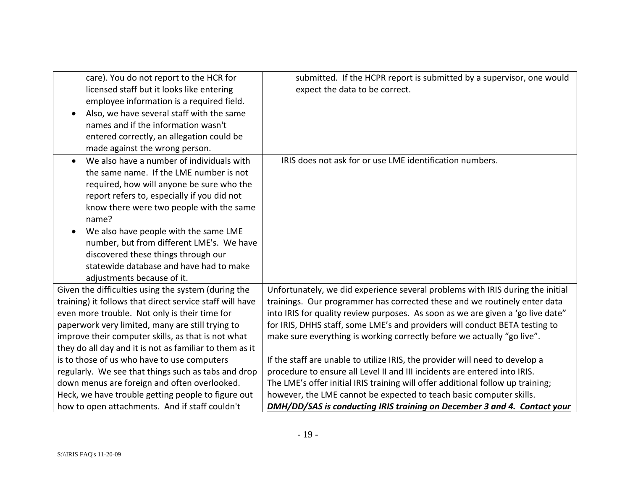| care). You do not report to the HCR for                  | submitted. If the HCPR report is submitted by a supervisor, one would           |
|----------------------------------------------------------|---------------------------------------------------------------------------------|
| licensed staff but it looks like entering                | expect the data to be correct.                                                  |
| employee information is a required field.                |                                                                                 |
| Also, we have several staff with the same<br>$\bullet$   |                                                                                 |
| names and if the information wasn't                      |                                                                                 |
| entered correctly, an allegation could be                |                                                                                 |
| made against the wrong person.                           |                                                                                 |
| We also have a number of individuals with                | IRIS does not ask for or use LME identification numbers.                        |
| the same name. If the LME number is not                  |                                                                                 |
| required, how will anyone be sure who the                |                                                                                 |
| report refers to, especially if you did not              |                                                                                 |
| know there were two people with the same                 |                                                                                 |
| name?                                                    |                                                                                 |
| We also have people with the same LME                    |                                                                                 |
| number, but from different LME's. We have                |                                                                                 |
| discovered these things through our                      |                                                                                 |
| statewide database and have had to make                  |                                                                                 |
| adjustments because of it.                               |                                                                                 |
| Given the difficulties using the system (during the      | Unfortunately, we did experience several problems with IRIS during the initial  |
| training) it follows that direct service staff will have | trainings. Our programmer has corrected these and we routinely enter data       |
| even more trouble. Not only is their time for            | into IRIS for quality review purposes. As soon as we are given a 'go live date" |
| paperwork very limited, many are still trying to         | for IRIS, DHHS staff, some LME's and providers will conduct BETA testing to     |
| improve their computer skills, as that is not what       | make sure everything is working correctly before we actually "go live".         |
| they do all day and it is not as familiar to them as it  |                                                                                 |
| is to those of us who have to use computers              | If the staff are unable to utilize IRIS, the provider will need to develop a    |
| regularly. We see that things such as tabs and drop      | procedure to ensure all Level II and III incidents are entered into IRIS.       |
| down menus are foreign and often overlooked.             | The LME's offer initial IRIS training will offer additional follow up training; |
| Heck, we have trouble getting people to figure out       | however, the LME cannot be expected to teach basic computer skills.             |
| how to open attachments. And if staff couldn't           | <b>DMH/DD/SAS is conducting IRIS training on December 3 and 4. Contact your</b> |